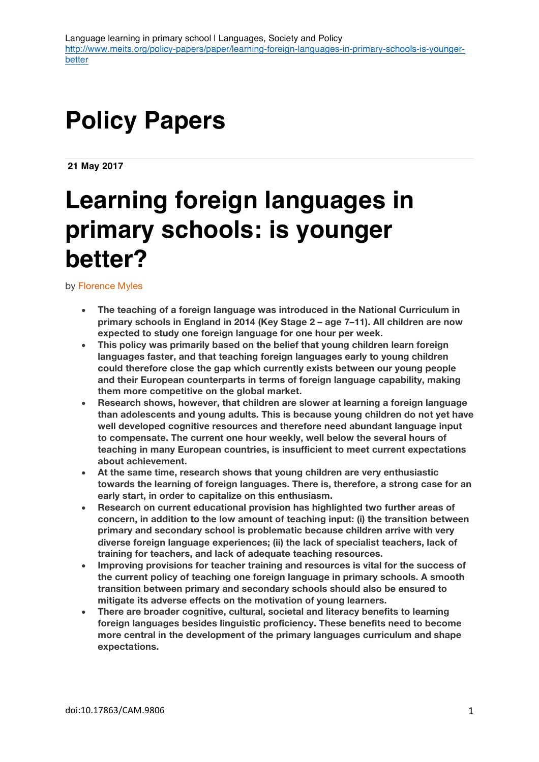# **Policy Papers**

**21 May 2017**

# **Learning foreign languages in primary schools: is younger better?**

by Florence Myles

- **The teaching of a foreign language was introduced in the National Curriculum in primary schools in England in 2014 (Key Stage 2 – age 7–11). All children are now expected to study one foreign language for one hour per week.**
- **This policy was primarily based on the belief that young children learn foreign languages faster, and that teaching foreign languages early to young children could therefore close the gap which currently exists between our young people and their European counterparts in terms of foreign language capability, making them more competitive on the global market.**
- **Research shows, however, that children are slower at learning a foreign language than adolescents and young adults. This is because young children do not yet have well developed cognitive resources and therefore need abundant language input to compensate. The current one hour weekly, well below the several hours of teaching in many European countries, is insufficient to meet current expectations about achievement.**
- **At the same time, research shows that young children are very enthusiastic towards the learning of foreign languages. There is, therefore, a strong case for an early start, in order to capitalize on this enthusiasm.**
- **Research on current educational provision has highlighted two further areas of concern, in addition to the low amount of teaching input: (i) the transition between primary and secondary school is problematic because children arrive with very diverse foreign language experiences; (ii) the lack of specialist teachers, lack of training for teachers, and lack of adequate teaching resources.**
- **Improving provisions for teacher training and resources is vital for the success of the current policy of teaching one foreign language in primary schools. A smooth transition between primary and secondary schools should also be ensured to mitigate its adverse effects on the motivation of young learners.**
- **There are broader cognitive, cultural, societal and literacy benefits to learning foreign languages besides linguistic proficiency. These benefits need to become more central in the development of the primary languages curriculum and shape expectations.**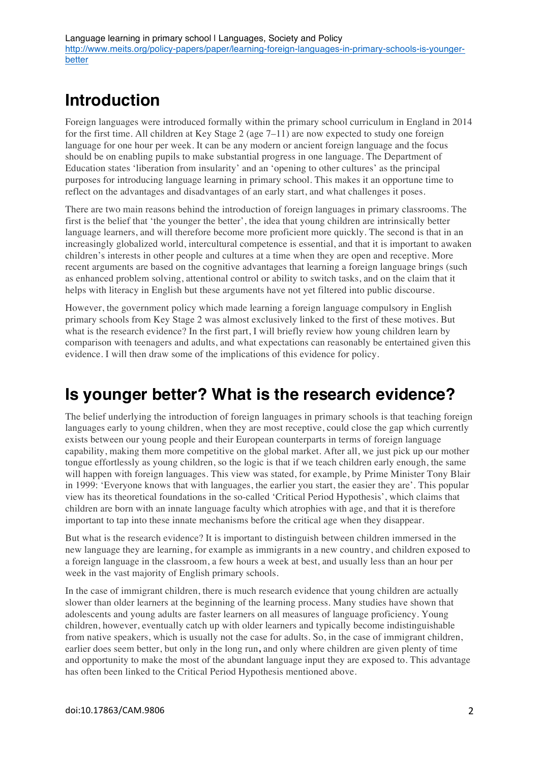# **Introduction**

Foreign languages were introduced formally within the primary school curriculum in England in 2014 for the first time. All children at Key Stage 2 (age 7–11) are now expected to study one foreign language for one hour per week. It can be any modern or ancient foreign language and the focus should be on enabling pupils to make substantial progress in one language. The Department of Education states 'liberation from insularity' and an 'opening to other cultures' as the principal purposes for introducing language learning in primary school. This makes it an opportune time to reflect on the advantages and disadvantages of an early start, and what challenges it poses.

There are two main reasons behind the introduction of foreign languages in primary classrooms. The first is the belief that 'the younger the better', the idea that young children are intrinsically better language learners, and will therefore become more proficient more quickly. The second is that in an increasingly globalized world, intercultural competence is essential, and that it is important to awaken children's interests in other people and cultures at a time when they are open and receptive. More recent arguments are based on the cognitive advantages that learning a foreign language brings (such as enhanced problem solving, attentional control or ability to switch tasks, and on the claim that it helps with literacy in English but these arguments have not yet filtered into public discourse.

However, the government policy which made learning a foreign language compulsory in English primary schools from Key Stage 2 was almost exclusively linked to the first of these motives. But what is the research evidence? In the first part, I will briefly review how young children learn by comparison with teenagers and adults, and what expectations can reasonably be entertained given this evidence. I will then draw some of the implications of this evidence for policy.

## **Is younger better? What is the research evidence?**

The belief underlying the introduction of foreign languages in primary schools is that teaching foreign languages early to young children, when they are most receptive, could close the gap which currently exists between our young people and their European counterparts in terms of foreign language capability, making them more competitive on the global market. After all, we just pick up our mother tongue effortlessly as young children, so the logic is that if we teach children early enough, the same will happen with foreign languages. This view was stated, for example, by Prime Minister Tony Blair in 1999: 'Everyone knows that with languages, the earlier you start, the easier they are'. This popular view has its theoretical foundations in the so-called 'Critical Period Hypothesis', which claims that children are born with an innate language faculty which atrophies with age, and that it is therefore important to tap into these innate mechanisms before the critical age when they disappear.

But what is the research evidence? It is important to distinguish between children immersed in the new language they are learning, for example as immigrants in a new country, and children exposed to a foreign language in the classroom, a few hours a week at best, and usually less than an hour per week in the vast majority of English primary schools.

In the case of immigrant children, there is much research evidence that young children are actually slower than older learners at the beginning of the learning process. Many studies have shown that adolescents and young adults are faster learners on all measures of language proficiency. Young children, however, eventually catch up with older learners and typically become indistinguishable from native speakers, which is usually not the case for adults. So, in the case of immigrant children, earlier does seem better, but only in the long run**,** and only where children are given plenty of time and opportunity to make the most of the abundant language input they are exposed to. This advantage has often been linked to the Critical Period Hypothesis mentioned above.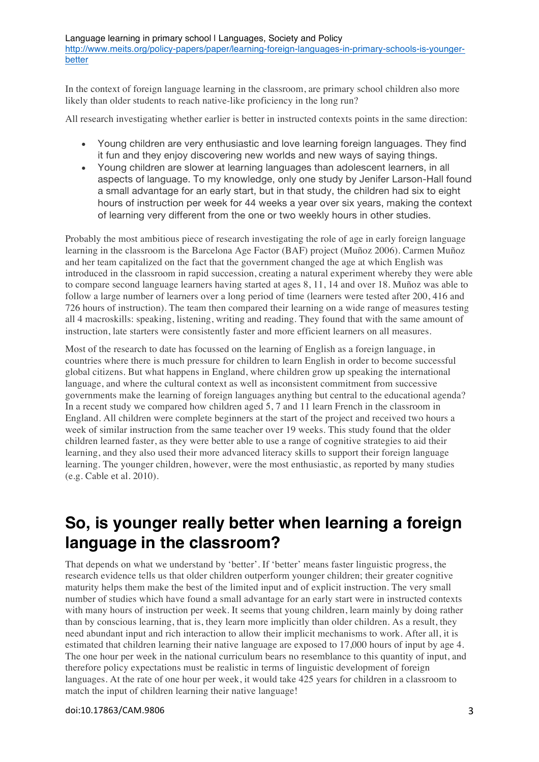Language learning in primary school I Languages, Society and Policy http://www.meits.org/policy-papers/paper/learning-foreign-languages-in-primary-schools-is-youngerbetter

In the context of foreign language learning in the classroom, are primary school children also more likely than older students to reach native-like proficiency in the long run?

All research investigating whether earlier is better in instructed contexts points in the same direction:

- Young children are very enthusiastic and love learning foreign languages. They find it fun and they enjoy discovering new worlds and new ways of saying things.
- Young children are slower at learning languages than adolescent learners, in all aspects of language. To my knowledge, only one study by Jenifer Larson-Hall found a small advantage for an early start, but in that study, the children had six to eight hours of instruction per week for 44 weeks a year over six years, making the context of learning very different from the one or two weekly hours in other studies.

Probably the most ambitious piece of research investigating the role of age in early foreign language learning in the classroom is the Barcelona Age Factor (BAF) project (Muñoz 2006). Carmen Muñoz and her team capitalized on the fact that the government changed the age at which English was introduced in the classroom in rapid succession, creating a natural experiment whereby they were able to compare second language learners having started at ages 8, 11, 14 and over 18. Muñoz was able to follow a large number of learners over a long period of time (learners were tested after 200, 416 and 726 hours of instruction). The team then compared their learning on a wide range of measures testing all 4 macroskills: speaking, listening, writing and reading. They found that with the same amount of instruction, late starters were consistently faster and more efficient learners on all measures.

Most of the research to date has focussed on the learning of English as a foreign language, in countries where there is much pressure for children to learn English in order to become successful global citizens. But what happens in England, where children grow up speaking the international language, and where the cultural context as well as inconsistent commitment from successive governments make the learning of foreign languages anything but central to the educational agenda? In a recent study we compared how children aged 5, 7 and 11 learn French in the classroom in England. All children were complete beginners at the start of the project and received two hours a week of similar instruction from the same teacher over 19 weeks. This study found that the older children learned faster, as they were better able to use a range of cognitive strategies to aid their learning, and they also used their more advanced literacy skills to support their foreign language learning. The younger children, however, were the most enthusiastic, as reported by many studies (e.g. Cable et al. 2010).

#### **So, is younger really better when learning a foreign language in the classroom?**

That depends on what we understand by 'better'. If 'better' means faster linguistic progress, the research evidence tells us that older children outperform younger children; their greater cognitive maturity helps them make the best of the limited input and of explicit instruction. The very small number of studies which have found a small advantage for an early start were in instructed contexts with many hours of instruction per week. It seems that young children, learn mainly by doing rather than by conscious learning, that is, they learn more implicitly than older children. As a result, they need abundant input and rich interaction to allow their implicit mechanisms to work. After all, it is estimated that children learning their native language are exposed to 17,000 hours of input by age 4. The one hour per week in the national curriculum bears no resemblance to this quantity of input, and therefore policy expectations must be realistic in terms of linguistic development of foreign languages. At the rate of one hour per week, it would take 425 years for children in a classroom to match the input of children learning their native language!

doi:10.17863/CAM.9806 3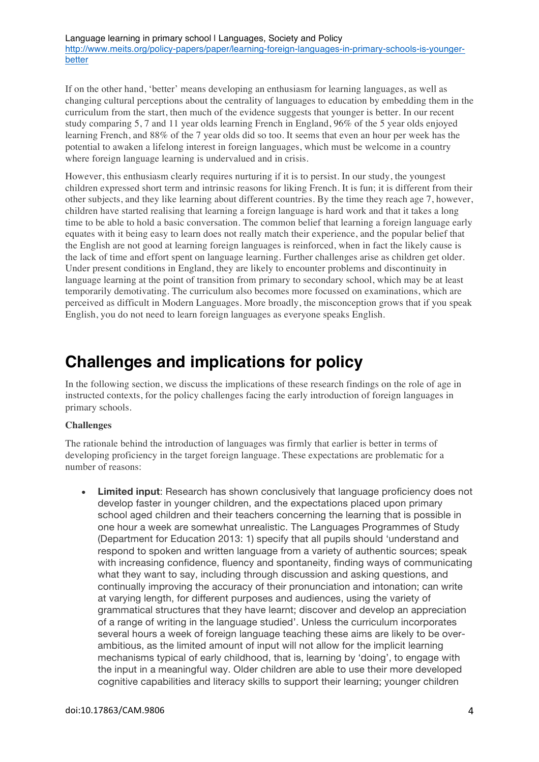Language learning in primary school I Languages, Society and Policy http://www.meits.org/policy-papers/paper/learning-foreign-languages-in-primary-schools-is-youngerbetter

If on the other hand, 'better' means developing an enthusiasm for learning languages, as well as changing cultural perceptions about the centrality of languages to education by embedding them in the curriculum from the start, then much of the evidence suggests that younger is better. In our recent study comparing 5, 7 and 11 year olds learning French in England, 96% of the 5 year olds enjoyed learning French, and 88% of the 7 year olds did so too. It seems that even an hour per week has the potential to awaken a lifelong interest in foreign languages, which must be welcome in a country where foreign language learning is undervalued and in crisis.

However, this enthusiasm clearly requires nurturing if it is to persist. In our study, the youngest children expressed short term and intrinsic reasons for liking French. It is fun; it is different from their other subjects, and they like learning about different countries. By the time they reach age 7, however, children have started realising that learning a foreign language is hard work and that it takes a long time to be able to hold a basic conversation. The common belief that learning a foreign language early equates with it being easy to learn does not really match their experience, and the popular belief that the English are not good at learning foreign languages is reinforced, when in fact the likely cause is the lack of time and effort spent on language learning. Further challenges arise as children get older. Under present conditions in England, they are likely to encounter problems and discontinuity in language learning at the point of transition from primary to secondary school, which may be at least temporarily demotivating. The curriculum also becomes more focussed on examinations, which are perceived as difficult in Modern Languages. More broadly, the misconception grows that if you speak English, you do not need to learn foreign languages as everyone speaks English.

### **Challenges and implications for policy**

In the following section, we discuss the implications of these research findings on the role of age in instructed contexts, for the policy challenges facing the early introduction of foreign languages in primary schools.

#### **Challenges**

The rationale behind the introduction of languages was firmly that earlier is better in terms of developing proficiency in the target foreign language. These expectations are problematic for a number of reasons:

• **Limited input**: Research has shown conclusively that language proficiency does not develop faster in younger children, and the expectations placed upon primary school aged children and their teachers concerning the learning that is possible in one hour a week are somewhat unrealistic. The Languages Programmes of Study (Department for Education 2013: 1) specify that all pupils should 'understand and respond to spoken and written language from a variety of authentic sources; speak with increasing confidence, fluency and spontaneity, finding ways of communicating what they want to say, including through discussion and asking questions, and continually improving the accuracy of their pronunciation and intonation; can write at varying length, for different purposes and audiences, using the variety of grammatical structures that they have learnt; discover and develop an appreciation of a range of writing in the language studied'. Unless the curriculum incorporates several hours a week of foreign language teaching these aims are likely to be overambitious, as the limited amount of input will not allow for the implicit learning mechanisms typical of early childhood, that is, learning by 'doing', to engage with the input in a meaningful way. Older children are able to use their more developed cognitive capabilities and literacy skills to support their learning; younger children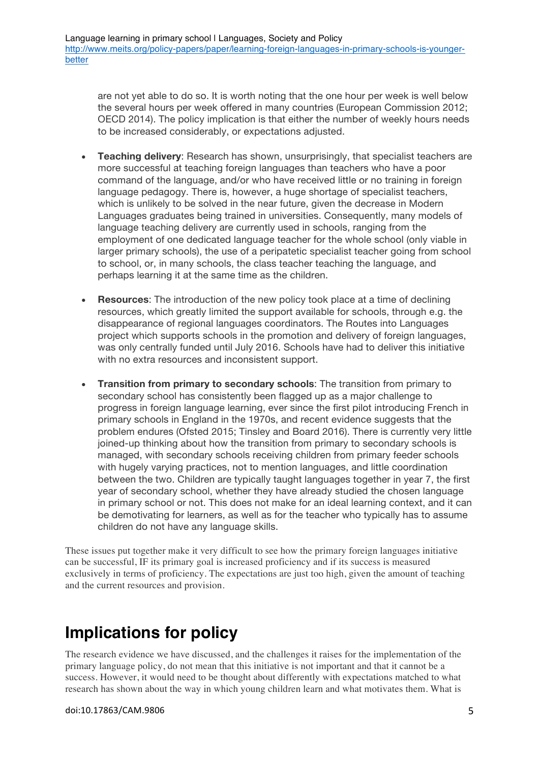are not yet able to do so. It is worth noting that the one hour per week is well below the several hours per week offered in many countries (European Commission 2012; OECD 2014). The policy implication is that either the number of weekly hours needs to be increased considerably, or expectations adjusted.

- **Teaching delivery**: Research has shown, unsurprisingly, that specialist teachers are more successful at teaching foreign languages than teachers who have a poor command of the language, and/or who have received little or no training in foreign language pedagogy. There is, however, a huge shortage of specialist teachers, which is unlikely to be solved in the near future, given the decrease in Modern Languages graduates being trained in universities. Consequently, many models of language teaching delivery are currently used in schools, ranging from the employment of one dedicated language teacher for the whole school (only viable in larger primary schools), the use of a peripatetic specialist teacher going from school to school, or, in many schools, the class teacher teaching the language, and perhaps learning it at the same time as the children.
- **Resources**: The introduction of the new policy took place at a time of declining resources, which greatly limited the support available for schools, through e.g. the disappearance of regional languages coordinators. The Routes into Languages project which supports schools in the promotion and delivery of foreign languages, was only centrally funded until July 2016. Schools have had to deliver this initiative with no extra resources and inconsistent support.
- **Transition from primary to secondary schools**: The transition from primary to secondary school has consistently been flagged up as a major challenge to progress in foreign language learning, ever since the first pilot introducing French in primary schools in England in the 1970s, and recent evidence suggests that the problem endures (Ofsted 2015; Tinsley and Board 2016). There is currently very little joined-up thinking about how the transition from primary to secondary schools is managed, with secondary schools receiving children from primary feeder schools with hugely varying practices, not to mention languages, and little coordination between the two. Children are typically taught languages together in year 7, the first year of secondary school, whether they have already studied the chosen language in primary school or not. This does not make for an ideal learning context, and it can be demotivating for learners, as well as for the teacher who typically has to assume children do not have any language skills.

These issues put together make it very difficult to see how the primary foreign languages initiative can be successful, IF its primary goal is increased proficiency and if its success is measured exclusively in terms of proficiency. The expectations are just too high, given the amount of teaching and the current resources and provision.

### **Implications for policy**

The research evidence we have discussed, and the challenges it raises for the implementation of the primary language policy, do not mean that this initiative is not important and that it cannot be a success. However, it would need to be thought about differently with expectations matched to what research has shown about the way in which young children learn and what motivates them. What is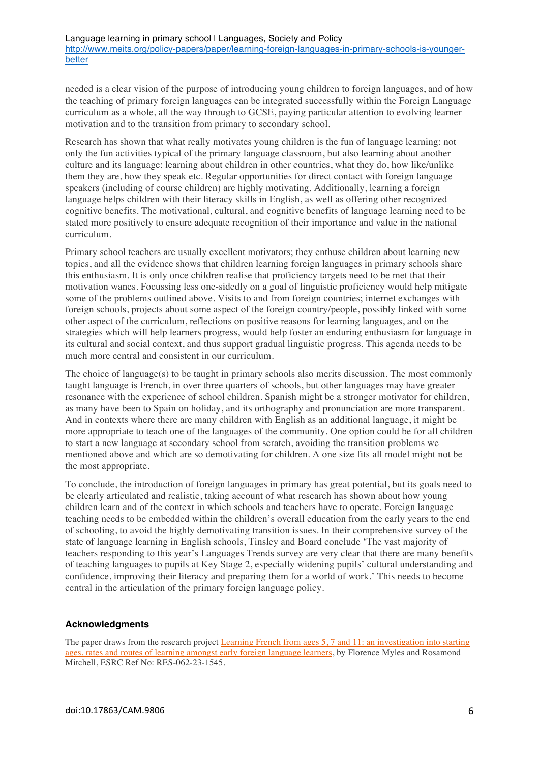needed is a clear vision of the purpose of introducing young children to foreign languages, and of how the teaching of primary foreign languages can be integrated successfully within the Foreign Language curriculum as a whole, all the way through to GCSE, paying particular attention to evolving learner motivation and to the transition from primary to secondary school.

Research has shown that what really motivates young children is the fun of language learning: not only the fun activities typical of the primary language classroom, but also learning about another culture and its language: learning about children in other countries, what they do, how like/unlike them they are, how they speak etc. Regular opportunities for direct contact with foreign language speakers (including of course children) are highly motivating. Additionally, learning a foreign language helps children with their literacy skills in English, as well as offering other recognized cognitive benefits. The motivational, cultural, and cognitive benefits of language learning need to be stated more positively to ensure adequate recognition of their importance and value in the national curriculum.

Primary school teachers are usually excellent motivators; they enthuse children about learning new topics, and all the evidence shows that children learning foreign languages in primary schools share this enthusiasm. It is only once children realise that proficiency targets need to be met that their motivation wanes. Focussing less one-sidedly on a goal of linguistic proficiency would help mitigate some of the problems outlined above. Visits to and from foreign countries; internet exchanges with foreign schools, projects about some aspect of the foreign country/people, possibly linked with some other aspect of the curriculum, reflections on positive reasons for learning languages, and on the strategies which will help learners progress, would help foster an enduring enthusiasm for language in its cultural and social context, and thus support gradual linguistic progress. This agenda needs to be much more central and consistent in our curriculum.

The choice of language(s) to be taught in primary schools also merits discussion. The most commonly taught language is French, in over three quarters of schools, but other languages may have greater resonance with the experience of school children. Spanish might be a stronger motivator for children, as many have been to Spain on holiday, and its orthography and pronunciation are more transparent. And in contexts where there are many children with English as an additional language, it might be more appropriate to teach one of the languages of the community. One option could be for all children to start a new language at secondary school from scratch, avoiding the transition problems we mentioned above and which are so demotivating for children. A one size fits all model might not be the most appropriate.

To conclude, the introduction of foreign languages in primary has great potential, but its goals need to be clearly articulated and realistic, taking account of what research has shown about how young children learn and of the context in which schools and teachers have to operate. Foreign language teaching needs to be embedded within the children's overall education from the early years to the end of schooling, to avoid the highly demotivating transition issues. In their comprehensive survey of the state of language learning in English schools, Tinsley and Board conclude 'The vast majority of teachers responding to this year's Languages Trends survey are very clear that there are many benefits of teaching languages to pupils at Key Stage 2, especially widening pupils' cultural understanding and confidence, improving their literacy and preparing them for a world of work.' This needs to become central in the articulation of the primary foreign language policy.

#### **Acknowledgments**

The paper draws from the research project Learning French from ages 5, 7 and 11: an investigation into starting ages, rates and routes of learning amongst early foreign language learners, by Florence Myles and Rosamond Mitchell, ESRC Ref No: RES-062-23-1545.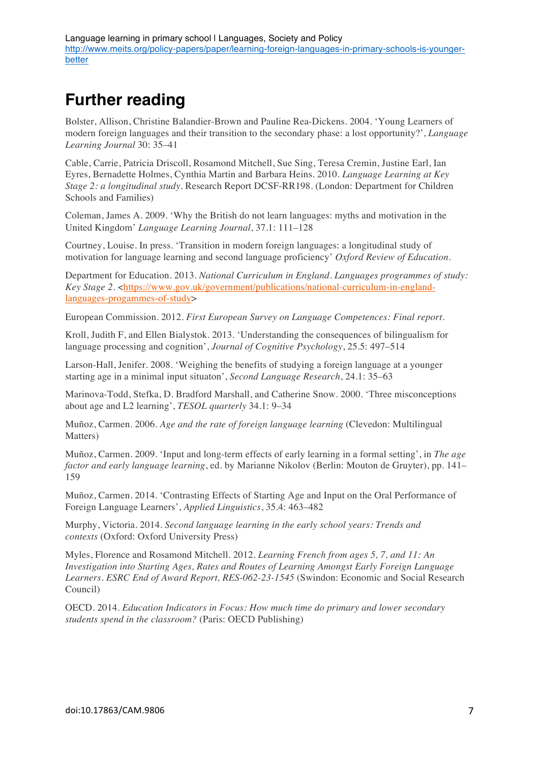## **Further reading**

Bolster, Allison, Christine Balandier-Brown and Pauline Rea-Dickens. 2004. 'Young Learners of modern foreign languages and their transition to the secondary phase: a lost opportunity?', *Language Learning Journal* 30: 35–41

Cable, Carrie, Patricia Driscoll, Rosamond Mitchell, Sue Sing, Teresa Cremin, Justine Earl, Ian Eyres, Bernadette Holmes, Cynthia Martin and Barbara Heins. 2010. *Language Learning at Key Stage 2: a longitudinal study*. Research Report DCSF-RR198. (London: Department for Children Schools and Families)

Coleman, James A. 2009. 'Why the British do not learn languages: myths and motivation in the United Kingdom' *Language Learning Journal*, 37.1: 111–128

Courtney, Louise. In press. 'Transition in modern foreign languages: a longitudinal study of motivation for language learning and second language proficiency' *Oxford Review of Education*.

Department for Education. 2013. *National Curriculum in England. Languages programmes of study: Key Stage 2.* <https://www.gov.uk/government/publications/national-curriculum-in-englandlanguages-progammes-of-study>

European Commission. 2012. *First European Survey on Language Competences: Final report*.

Kroll, Judith F, and Ellen Bialystok. 2013. 'Understanding the consequences of bilingualism for language processing and cognition', *Journal of Cognitive Psychology*, 25*.*5: 497–514

Larson-Hall, Jenifer. 2008. 'Weighing the benefits of studying a foreign language at a younger starting age in a minimal input situaton', *Second Language Research*, 24.1: 35–63

Marinova-Todd, Stefka, D. Bradford Marshall, and Catherine Snow. 2000. 'Three misconceptions about age and L2 learning', *TESOL quarterly* 34.1: 9–34

Muñoz, Carmen. 2006. *Age and the rate of foreign language learning* (Clevedon: Multilingual Matters)

Muñoz, Carmen. 2009. 'Input and long-term effects of early learning in a formal setting', in *The age factor and early language learning*, ed. by Marianne Nikolov (Berlin: Mouton de Gruyter), pp. 141– 159

Muñoz, Carmen. 2014. 'Contrasting Effects of Starting Age and Input on the Oral Performance of Foreign Language Learners', *Applied Linguistics*, 35.4: 463–482

Murphy, Victoria. 2014. *Second language learning in the early school years: Trends and contexts* (Oxford: Oxford University Press)

Myles, Florence and Rosamond Mitchell. 2012. *Learning French from ages 5, 7, and 11: An Investigation into Starting Ages, Rates and Routes of Learning Amongst Early Foreign Language Learners. ESRC End of Award Report, RES-062-23-1545* (Swindon: Economic and Social Research Council)

OECD. 2014. *Education Indicators in Focus: How much time do primary and lower secondary students spend in the classroom?* (Paris: OECD Publishing)